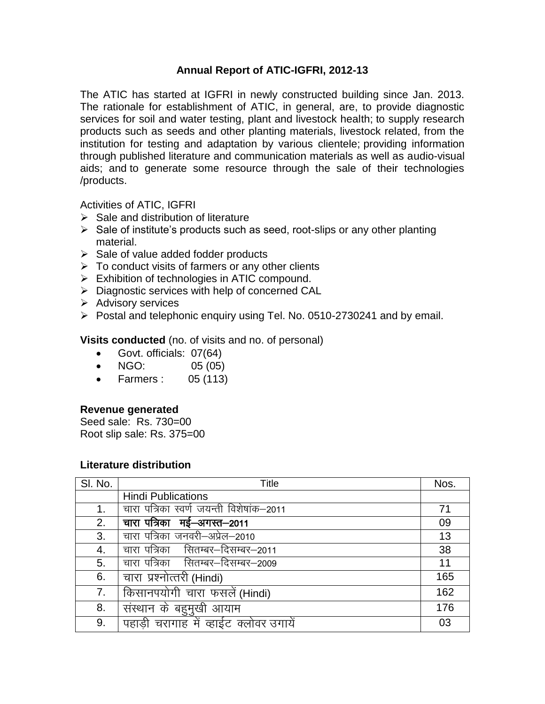## **Annual Report of ATIC-IGFRI, 2012-13**

The ATIC has started at IGFRI in newly constructed building since Jan. 2013. The rationale for establishment of ATIC, in general, are, to provide diagnostic services for soil and water testing, plant and livestock health; to supply research products such as seeds and other planting materials, livestock related, from the institution for testing and adaptation by various clientele; providing information through published literature and communication materials as well as audio-visual aids; and to generate some resource through the sale of their technologies /products.

Activities of ATIC, IGFRI

- $\triangleright$  Sale and distribution of literature
- $\triangleright$  Sale of institute's products such as seed, root-slips or any other planting material.
- $\triangleright$  Sale of value added fodder products
- $\triangleright$  To conduct visits of farmers or any other clients
- Exhibition of technologies in ATIC compound.
- $\triangleright$  Diagnostic services with help of concerned CAL
- $\triangleright$  Advisory services
- $\triangleright$  Postal and telephonic enquiry using Tel. No. 0510-2730241 and by email.

**Visits conducted** (no. of visits and no. of personal)

- Govt. officials: 07(64)
- $\bullet$  NGO: 05 (05)
- Farmers : 05 (113)

## **Revenue generated**

Seed sale: Rs. 730=00 Root slip sale: Rs. 375=00

## **Literature distribution**

| SI. No. | Title                                    | Nos. |
|---------|------------------------------------------|------|
|         | <b>Hindi Publications</b>                |      |
| 1.      | चारा पत्रिका स्वर्ण जयन्ती विशेषांक–2011 | 71   |
| 2.      | चारा पत्रिका मई-अगस्त-2011               | 09   |
| 3.      | चारा पत्रिका जनवरी–अप्रेल–2010           | 13   |
| 4.      | चारा पत्रिका सितम्बर–दिसम्बर–2011        | 38   |
| 5.      | चारा पत्रिका सितम्बर–दिसम्बर–2009        | 11   |
| 6.      | चारा प्रश्नोत्तरी (Hindi)                | 165  |
| 7.      | किसानपयोगी चारा फसलें (Hindi)            | 162  |
| 8.      | संस्थान के बहुमुखी आयाम                  | 176  |
| 9.      | पहाड़ी चरागाह में व्हाईट क्लोवर उगायें   | 03   |